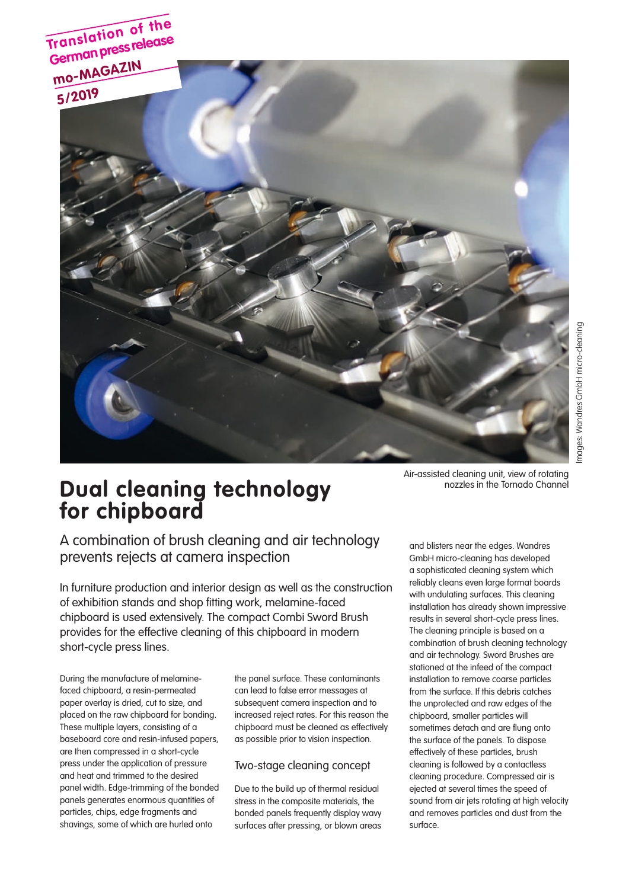

# **Dual cleaning technology for chipboard**

Air-assisted cleaning unit, view of rotating nozzles in the Tornado Channel

A combination of brush cleaning and air technology prevents rejects at camera inspection

In furniture production and interior design as well as the construction of exhibition stands and shop fitting work, melamine-faced chipboard is used extensively. The compact Combi Sword Brush provides for the effective cleaning of this chipboard in modern short-cycle press lines.

During the manufacture of melaminefaced chipboard, a resin-permeated paper overlay is dried, cut to size, and placed on the raw chipboard for bonding. These multiple layers, consisting of a baseboard core and resin-infused papers, are then compressed in a short-cycle press under the application of pressure and heat and trimmed to the desired panel width. Edge-trimming of the bonded panels generates enormous quantities of particles, chips, edge fragments and shavings, some of which are hurled onto

the panel surface. These contaminants can lead to false error messages at subsequent camera inspection and to increased reject rates. For this reason the chipboard must be cleaned as effectively as possible prior to vision inspection.

### Two-stage cleaning concept

Due to the build up of thermal residual stress in the composite materials, the bonded panels frequently display wavy surfaces after pressing, or blown areas

and blisters near the edges. Wandres GmbH micro-cleaning has developed a sophisticated cleaning system which reliably cleans even large format boards with undulating surfaces. This cleaning installation has already shown impressive results in several short-cycle press lines. The cleaning principle is based on a combination of brush cleaning technology and air technology. Sword Brushes are stationed at the infeed of the compact installation to remove coarse particles from the surface. If this debris catches the unprotected and raw edges of the chipboard, smaller particles will sometimes detach and are flung onto the surface of the panels. To dispose effectively of these particles, brush cleaning is followed by a contactless cleaning procedure. Compressed air is ejected at several times the speed of sound from air jets rotating at high velocity and removes particles and dust from the surface.